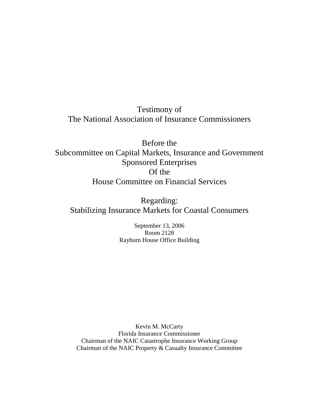Testimony of The National Association of Insurance Commissioners

Before the Subcommittee on Capital Markets, Insurance and Government Sponsored Enterprises Of the House Committee on Financial Services

Regarding: Stabilizing Insurance Markets for Coastal Consumers

> September 13, 2006 Room 2128 Rayburn House Office Building

Kevin M. McCarty Florida Insurance Commissioner Chairman of the NAIC Catastrophe Insurance Working Group Chairman of the NAIC Property & Casualty Insurance Committee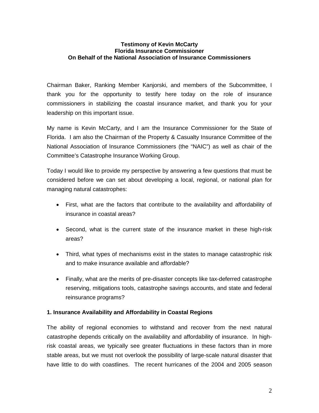### **Testimony of Kevin McCarty Florida Insurance Commissioner On Behalf of the National Association of Insurance Commissioners**

Chairman Baker, Ranking Member Kanjorski, and members of the Subcommittee, I thank you for the opportunity to testify here today on the role of insurance commissioners in stabilizing the coastal insurance market, and thank you for your leadership on this important issue.

My name is Kevin McCarty, and I am the Insurance Commissioner for the State of Florida. I am also the Chairman of the Property & Casualty Insurance Committee of the National Association of Insurance Commissioners (the "NAIC") as well as chair of the Committee's Catastrophe Insurance Working Group.

Today I would like to provide my perspective by answering a few questions that must be considered before we can set about developing a local, regional, or national plan for managing natural catastrophes:

- First, what are the factors that contribute to the availability and affordability of insurance in coastal areas?
- Second, what is the current state of the insurance market in these high-risk areas?
- Third, what types of mechanisms exist in the states to manage catastrophic risk and to make insurance available and affordable?
- Finally, what are the merits of pre-disaster concepts like tax-deferred catastrophe reserving, mitigations tools, catastrophe savings accounts, and state and federal reinsurance programs?

## **1. Insurance Availability and Affordability in Coastal Regions**

The ability of regional economies to withstand and recover from the next natural catastrophe depends critically on the availability and affordability of insurance. In highrisk coastal areas, we typically see greater fluctuations in these factors than in more stable areas, but we must not overlook the possibility of large-scale natural disaster that have little to do with coastlines. The recent hurricanes of the 2004 and 2005 season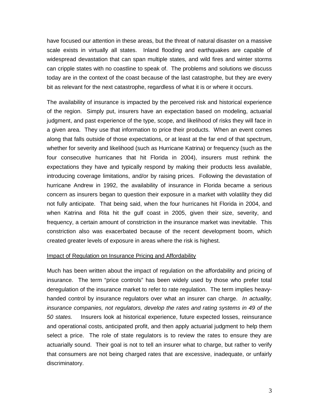have focused our attention in these areas, but the threat of natural disaster on a massive scale exists in virtually all states. Inland flooding and earthquakes are capable of widespread devastation that can span multiple states, and wild fires and winter storms can cripple states with no coastline to speak of. The problems and solutions we discuss today are in the context of the coast because of the last catastrophe, but they are every bit as relevant for the next catastrophe, regardless of what it is or where it occurs.

The availability of insurance is impacted by the perceived risk and historical experience of the region. Simply put, insurers have an expectation based on modeling, actuarial judgment, and past experience of the type, scope, and likelihood of risks they will face in a given area. They use that information to price their products. When an event comes along that falls outside of those expectations, or at least at the far end of that spectrum, whether for severity and likelihood (such as Hurricane Katrina) or frequency (such as the four consecutive hurricanes that hit Florida in 2004), insurers must rethink the expectations they have and typically respond by making their products less available, introducing coverage limitations, and/or by raising prices. Following the devastation of hurricane Andrew in 1992, the availability of insurance in Florida became a serious concern as insurers began to question their exposure in a market with volatility they did not fully anticipate. That being said, when the four hurricanes hit Florida in 2004, and when Katrina and Rita hit the gulf coast in 2005, given their size, severity, and frequency, a certain amount of constriction in the insurance market was inevitable. This constriction also was exacerbated because of the recent development boom, which created greater levels of exposure in areas where the risk is highest.

#### Impact of Regulation on Insurance Pricing and Affordability

Much has been written about the impact of regulation on the affordability and pricing of insurance. The term "price controls" has been widely used by those who prefer total deregulation of the insurance market to refer to rate regulation. The term implies heavyhanded control by insurance regulators over what an insurer can charge. *In actuality, insurance companies, not regulators, develop the rates and rating systems in 49 of the 50 states.* Insurers look at historical experience, future expected losses, reinsurance and operational costs, anticipated profit, and then apply actuarial judgment to help them select a price. The role of state regulators is to review the rates to ensure they are actuarially sound. Their goal is not to tell an insurer what to charge, but rather to verify that consumers are not being charged rates that are excessive, inadequate, or unfairly discriminatory.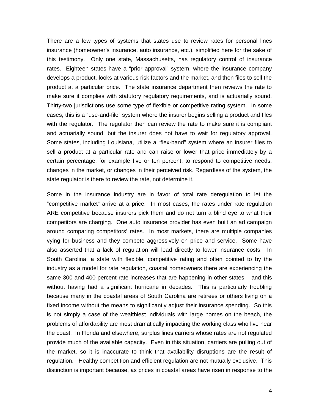There are a few types of systems that states use to review rates for personal lines insurance (homeowner's insurance, auto insurance, etc.), simplified here for the sake of this testimony. Only one state, Massachusetts, has regulatory control of insurance rates. Eighteen states have a "prior approval" system, where the insurance company develops a product, looks at various risk factors and the market, and then files to sell the product at a particular price. The state insurance department then reviews the rate to make sure it complies with statutory regulatory requirements, and is actuarially sound. Thirty-two jurisdictions use some type of flexible or competitive rating system. In some cases, this is a "use-and-file" system where the insurer begins selling a product and files with the regulator. The regulator then can review the rate to make sure it is compliant and actuarially sound, but the insurer does not have to wait for regulatory approval. Some states, including Louisiana, utilize a "flex-band" system where an insurer files to sell a product at a particular rate and can raise or lower that price immediately by a certain percentage, for example five or ten percent, to respond to competitive needs, changes in the market, or changes in their perceived risk. Regardless of the system, the state regulator is there to review the rate, not determine it.

Some in the insurance industry are in favor of total rate deregulation to let the "competitive market" arrive at a price. In most cases, the rates under rate regulation ARE competitive because insurers pick them and do not turn a blind eye to what their competitors are charging. One auto insurance provider has even built an ad campaign around comparing competitors' rates. In most markets, there are multiple companies vying for business and they compete aggressively on price and service. Some have also asserted that a lack of regulation will lead directly to lower insurance costs. In South Carolina, a state with flexible, competitive rating and often pointed to by the industry as a model for rate regulation, coastal homeowners there are experiencing the same 300 and 400 percent rate increases that are happening in other states – and this without having had a significant hurricane in decades. This is particularly troubling because many in the coastal areas of South Carolina are retirees or others living on a fixed income without the means to significantly adjust their insurance spending. So this is not simply a case of the wealthiest individuals with large homes on the beach, the problems of affordability are most dramatically impacting the working class who live near the coast. In Florida and elsewhere, surplus lines carriers whose rates are not regulated provide much of the available capacity. Even in this situation, carriers are pulling out of the market, so it is inaccurate to think that availability disruptions are the result of regulation. Healthy competition and efficient regulation are not mutually exclusive. This distinction is important because, as prices in coastal areas have risen in response to the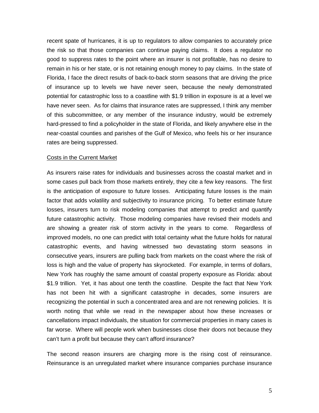recent spate of hurricanes, it is up to regulators to allow companies to accurately price the risk so that those companies can continue paying claims. It does a regulator no good to suppress rates to the point where an insurer is not profitable, has no desire to remain in his or her state, or is not retaining enough money to pay claims. In the state of Florida, I face the direct results of back-to-back storm seasons that are driving the price of insurance up to levels we have never seen, because the newly demonstrated potential for catastrophic loss to a coastline with \$1.9 trillion in exposure is at a level we have never seen. As for claims that insurance rates are suppressed, I think any member of this subcommittee, or any member of the insurance industry, would be extremely hard-pressed to find a policyholder in the state of Florida, and likely anywhere else in the near-coastal counties and parishes of the Gulf of Mexico, who feels his or her insurance rates are being suppressed.

#### Costs in the Current Market

As insurers raise rates for individuals and businesses across the coastal market and in some cases pull back from those markets entirely, they cite a few key reasons. The first is the anticipation of exposure to future losses. Anticipating future losses is the main factor that adds volatility and subjectivity to insurance pricing. To better estimate future losses, insurers turn to risk modeling companies that attempt to predict and quantify future catastrophic activity. Those modeling companies have revised their models and are showing a greater risk of storm activity in the years to come. Regardless of improved models, no one can predict with total certainty what the future holds for natural catastrophic events, and having witnessed two devastating storm seasons in consecutive years, insurers are pulling back from markets on the coast where the risk of loss is high and the value of property has skyrocketed. For example, in terms of dollars, New York has roughly the same amount of coastal property exposure as Florida: about \$1.9 trillion. Yet, it has about one tenth the coastline. Despite the fact that New York has not been hit with a significant catastrophe in decades, some insurers are recognizing the potential in such a concentrated area and are not renewing policies. It is worth noting that while we read in the newspaper about how these increases or cancellations impact individuals, the situation for commercial properties in many cases is far worse. Where will people work when businesses close their doors not because they can't turn a profit but because they can't afford insurance?

The second reason insurers are charging more is the rising cost of reinsurance. Reinsurance is an unregulated market where insurance companies purchase insurance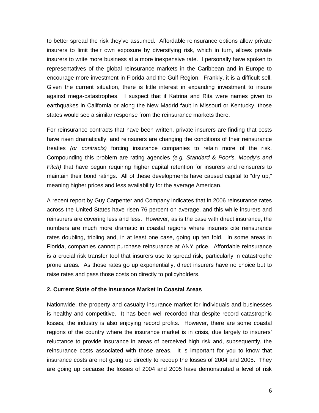to better spread the risk they've assumed. Affordable reinsurance options allow private insurers to limit their own exposure by diversifying risk, which in turn, allows private insurers to write more business at a more inexpensive rate. I personally have spoken to representatives of the global reinsurance markets in the Caribbean and in Europe to encourage more investment in Florida and the Gulf Region. Frankly, it is a difficult sell. Given the current situation, there is little interest in expanding investment to insure against mega-catastrophes. I suspect that if Katrina and Rita were names given to earthquakes in California or along the New Madrid fault in Missouri or Kentucky, those states would see a similar response from the reinsurance markets there.

For reinsurance contracts that have been written, private insurers are finding that costs have risen dramatically, and reinsurers are changing the conditions of their reinsurance treaties *(or contracts)* forcing insurance companies to retain more of the risk. Compounding this problem are rating agencies *(e.g. Standard & Poor's, Moody's and Fitch)* that have begun requiring higher capital retention for insurers and reinsurers to maintain their bond ratings. All of these developments have caused capital to "dry up," meaning higher prices and less availability for the average American.

A recent report by Guy Carpenter and Company indicates that in 2006 reinsurance rates across the United States have risen 76 percent on average, and this while insurers and reinsurers are covering less and less. However, as is the case with direct insurance, the numbers are much more dramatic in coastal regions where insurers cite reinsurance rates doubling, tripling and, in at least one case, going up ten fold. In some areas in Florida, companies cannot purchase reinsurance at ANY price. Affordable reinsurance is a crucial risk transfer tool that insurers use to spread risk, particularly in catastrophe prone areas. As those rates go up exponentially, direct insurers have no choice but to raise rates and pass those costs on directly to policyholders.

#### **2. Current State of the Insurance Market in Coastal Areas**

Nationwide, the property and casualty insurance market for individuals and businesses is healthy and competitive. It has been well recorded that despite record catastrophic losses, the industry is also enjoying record profits. However, there are some coastal regions of the country where the insurance market is in crisis, due largely to insurers' reluctance to provide insurance in areas of perceived high risk and, subsequently, the reinsurance costs associated with those areas. It is important for you to know that insurance costs are not going up directly to recoup the losses of 2004 and 2005. They are going up because the losses of 2004 and 2005 have demonstrated a level of risk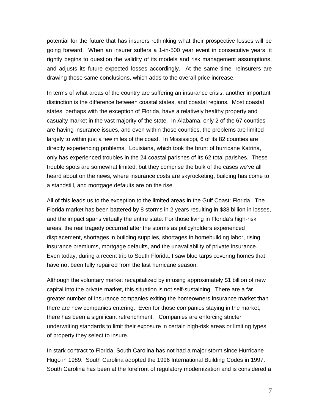potential for the future that has insurers rethinking what their prospective losses will be going forward. When an insurer suffers a 1-in-500 year event in consecutive years, it rightly begins to question the validity of its models and risk management assumptions, and adjusts its future expected losses accordingly. At the same time, reinsurers are drawing those same conclusions, which adds to the overall price increase.

In terms of what areas of the country are suffering an insurance crisis, another important distinction is the difference between coastal states, and coastal regions. Most coastal states, perhaps with the exception of Florida, have a relatively healthy property and casualty market in the vast majority of the state. In Alabama, only 2 of the 67 counties are having insurance issues, and even within those counties, the problems are limited largely to within just a few miles of the coast. In Mississippi, 6 of its 82 counties are directly experiencing problems. Louisiana, which took the brunt of hurricane Katrina, only has experienced troubles in the 24 coastal parishes of its 62 total parishes. These trouble spots are somewhat limited, but they comprise the bulk of the cases we've all heard about on the news, where insurance costs are skyrocketing, building has come to a standstill, and mortgage defaults are on the rise.

All of this leads us to the exception to the limited areas in the Gulf Coast: Florida. The Florida market has been battered by 8 storms in 2 years resulting in \$38 billion in losses, and the impact spans virtually the entire state. For those living in Florida's high-risk areas, the real tragedy occurred after the storms as policyholders experienced displacement, shortages in building supplies, shortages in homebuilding labor, rising insurance premiums, mortgage defaults, and the unavailability of private insurance. Even today, during a recent trip to South Florida, I saw blue tarps covering homes that have not been fully repaired from the last hurricane season.

Although the voluntary market recapitalized by infusing approximately \$1 billion of new capital into the private market, this situation is not self-sustaining. There are a far greater number of insurance companies exiting the homeowners insurance market than there are new companies entering. Even for those companies staying in the market, there has been a significant retrenchment. Companies are enforcing stricter underwriting standards to limit their exposure in certain high-risk areas or limiting types of property they select to insure.

In stark contract to Florida, South Carolina has not had a major storm since Hurricane Hugo in 1989. South Carolina adopted the 1996 International Building Codes in 1997. South Carolina has been at the forefront of regulatory modernization and is considered a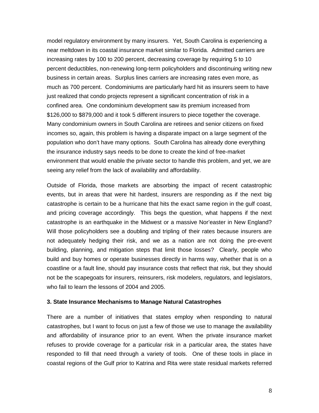model regulatory environment by many insurers. Yet, South Carolina is experiencing a near meltdown in its coastal insurance market similar to Florida. Admitted carriers are increasing rates by 100 to 200 percent, decreasing coverage by requiring 5 to 10 percent deductibles, non-renewing long-term policyholders and discontinuing writing new business in certain areas. Surplus lines carriers are increasing rates even more, as much as 700 percent. Condominiums are particularly hard hit as insurers seem to have just realized that condo projects represent a significant concentration of risk in a confined area. One condominium development saw its premium increased from \$126,000 to \$879,000 and it took 5 different insurers to piece together the coverage. Many condominium owners in South Carolina are retirees and senior citizens on fixed incomes so, again, this problem is having a disparate impact on a large segment of the population who don't have many options. South Carolina has already done everything the insurance industry says needs to be done to create the kind of free-market environment that would enable the private sector to handle this problem, and yet, we are seeing any relief from the lack of availability and affordability.

Outside of Florida, those markets are absorbing the impact of recent catastrophic events, but in areas that were hit hardest, insurers are responding as if the next big catastrophe is certain to be a hurricane that hits the exact same region in the gulf coast, and pricing coverage accordingly. This begs the question, what happens if the next catastrophe is an earthquake in the Midwest or a massive Nor'easter in New England? Will those policyholders see a doubling and tripling of their rates because insurers are not adequately hedging their risk, and we as a nation are not doing the pre-event building, planning, and mitigation steps that limit those losses? Clearly, people who build and buy homes or operate businesses directly in harms way, whether that is on a coastline or a fault line, should pay insurance costs that reflect that risk, but they should not be the scapegoats for insurers, reinsurers, risk modelers, regulators, and legislators, who fail to learn the lessons of 2004 and 2005.

#### **3. State Insurance Mechanisms to Manage Natural Catastrophes**

There are a number of initiatives that states employ when responding to natural catastrophes, but I want to focus on just a few of those we use to manage the availability and affordability of insurance prior to an event. When the private insurance market refuses to provide coverage for a particular risk in a particular area, the states have responded to fill that need through a variety of tools. One of these tools in place in coastal regions of the Gulf prior to Katrina and Rita were state residual markets referred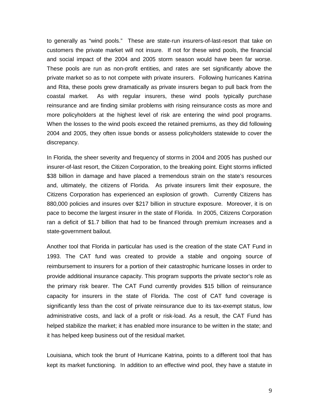to generally as "wind pools." These are state-run insurers-of-last-resort that take on customers the private market will not insure. If not for these wind pools, the financial and social impact of the 2004 and 2005 storm season would have been far worse. These pools are run as non-profit entities, and rates are set significantly above the private market so as to not compete with private insurers. Following hurricanes Katrina and Rita, these pools grew dramatically as private insurers began to pull back from the coastal market. As with regular insurers, these wind pools typically purchase reinsurance and are finding similar problems with rising reinsurance costs as more and more policyholders at the highest level of risk are entering the wind pool programs. When the losses to the wind pools exceed the retained premiums, as they did following 2004 and 2005, they often issue bonds or assess policyholders statewide to cover the discrepancy.

In Florida, the sheer severity and frequency of storms in 2004 and 2005 has pushed our insurer-of-last resort, the Citizen Corporation, to the breaking point. Eight storms inflicted \$38 billion in damage and have placed a tremendous strain on the state's resources and, ultimately, the citizens of Florida. As private insurers limit their exposure, the Citizens Corporation has experienced an explosion of growth. Currently Citizens has 880,000 policies and insures over \$217 billion in structure exposure. Moreover, it is on pace to become the largest insurer in the state of Florida. In 2005, Citizens Corporation ran a deficit of \$1.7 billion that had to be financed through premium increases and a state-government bailout.

Another tool that Florida in particular has used is the creation of the state CAT Fund in 1993. The CAT fund was created to provide a stable and ongoing source of reimbursement to insurers for a portion of their catastrophic hurricane losses in order to provide additional insurance capacity. This program supports the private sector's role as the primary risk bearer. The CAT Fund currently provides \$15 billion of reinsurance capacity for insurers in the state of Florida. The cost of CAT fund coverage is significantly less than the cost of private reinsurance due to its tax-exempt status, low administrative costs, and lack of a profit or risk-load. As a result, the CAT Fund has helped stabilize the market; it has enabled more insurance to be written in the state; and it has helped keep business out of the residual market.

Louisiana, which took the brunt of Hurricane Katrina, points to a different tool that has kept its market functioning. In addition to an effective wind pool, they have a statute in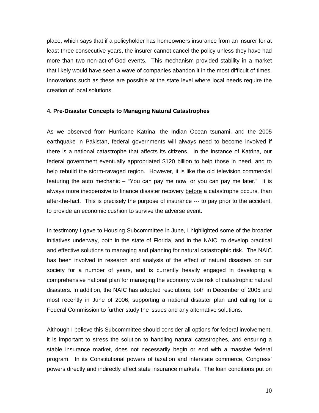place, which says that if a policyholder has homeowners insurance from an insurer for at least three consecutive years, the insurer cannot cancel the policy unless they have had more than two non-act-of-God events. This mechanism provided stability in a market that likely would have seen a wave of companies abandon it in the most difficult of times. Innovations such as these are possible at the state level where local needs require the creation of local solutions.

#### **4. Pre-Disaster Concepts to Managing Natural Catastrophes**

As we observed from Hurricane Katrina, the Indian Ocean tsunami, and the 2005 earthquake in Pakistan, federal governments will always need to become involved if there is a national catastrophe that affects its citizens. In the instance of Katrina, our federal government eventually appropriated \$120 billion to help those in need, and to help rebuild the storm-ravaged region. However, it is like the old television commercial featuring the auto mechanic – "You can pay me now, or you can pay me later." It is always more inexpensive to finance disaster recovery before a catastrophe occurs, than after-the-fact. This is precisely the purpose of insurance --- to pay prior to the accident, to provide an economic cushion to survive the adverse event.

In testimony I gave to Housing Subcommittee in June, I highlighted some of the broader initiatives underway, both in the state of Florida, and in the NAIC, to develop practical and effective solutions to managing and planning for natural catastrophic risk. The NAIC has been involved in research and analysis of the effect of natural disasters on our society for a number of years, and is currently heavily engaged in developing a comprehensive national plan for managing the economy wide risk of catastrophic natural disasters. In addition, the NAIC has adopted resolutions, both in December of 2005 and most recently in June of 2006, supporting a national disaster plan and calling for a Federal Commission to further study the issues and any alternative solutions.

Although I believe this Subcommittee should consider all options for federal involvement, it is important to stress the solution to handling natural catastrophes, and ensuring a stable insurance market, does not necessarily begin or end with a massive federal program. In its Constitutional powers of taxation and interstate commerce, Congress' powers directly and indirectly affect state insurance markets. The loan conditions put on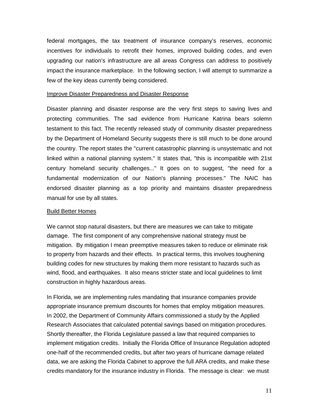federal mortgages, the tax treatment of insurance company's reserves, economic incentives for individuals to retrofit their homes, improved building codes, and even upgrading our nation's infrastructure are all areas Congress can address to positively impact the insurance marketplace. In the following section, I will attempt to summarize a few of the key ideas currently being considered.

### Improve Disaster Preparedness and Disaster Response

Disaster planning and disaster response are the very first steps to saving lives and protecting communities. The sad evidence from Hurricane Katrina bears solemn testament to this fact. The recently released study of community disaster preparedness by the Department of Homeland Security suggests there is still much to be done around the country. The report states the "current catastrophic planning is unsystematic and not linked within a national planning system." It states that, "this is incompatible with 21st century homeland security challenges..." It goes on to suggest, "the need for a fundamental modernization of our Nation's planning processes." The NAIC has endorsed disaster planning as a top priority and maintains disaster preparedness manual for use by all states.

## Build Better Homes

We cannot stop natural disasters, but there are measures we can take to mitigate damage. The first component of any comprehensive national strategy must be mitigation. By mitigation I mean preemptive measures taken to reduce or eliminate risk to property from hazards and their effects. In practical terms, this involves toughening building codes for new structures by making them more resistant to hazards such as wind, flood, and earthquakes. It also means stricter state and local guidelines to limit construction in highly hazardous areas.

In Florida, we are implementing rules mandating that insurance companies provide appropriate insurance premium discounts for homes that employ mitigation measures. In 2002, the Department of Community Affairs commissioned a study by the Applied Research Associates that calculated potential savings based on mitigation procedures. Shortly thereafter, the Florida Legislature passed a law that required companies to implement mitigation credits. Initially the Florida Office of Insurance Regulation adopted one-half of the recommended credits, but after two years of hurricane damage related data, we are asking the Florida Cabinet to approve the full ARA credits, and make these credits mandatory for the insurance industry in Florida. The message is clear: we must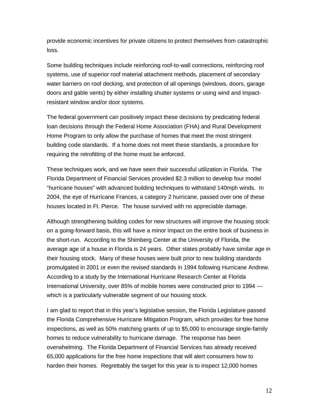provide economic incentives for private citizens to protect themselves from catastrophic loss.

Some building techniques include reinforcing roof-to-wall connections, reinforcing roof systems, use of superior roof material attachment methods, placement of secondary water barriers on roof decking, and protection of all openings (windows, doors, garage doors and gable vents) by either installing shutter systems or using wind and impactresistant window and/or door systems.

The federal government can positively impact these decisions by predicating federal loan decisions through the Federal Home Association (FHA) and Rural Development Home Program to only allow the purchase of homes that meet the most stringent building code standards. If a home does not meet these standards, a procedure for requiring the retrofitting of the home must be enforced.

These techniques work, and we have seen their successful utilization in Florida. The Florida Department of Financial Services provided \$2.3 million to develop four model "hurricane houses" with advanced building techniques to withstand 140mph winds. In 2004, the eye of Hurricane Frances, a category 2 hurricane, passed over one of these houses located in Ft. Pierce. The house survived with no appreciable damage.

Although strengthening building codes for new structures will improve the housing stock on a going-forward basis, this will have a minor impact on the entire book of business in the short-run. According to the Shimberg Center at the University of Florida, the average age of a house in Florida is 24 years. Other states probably have similar age in their housing stock. Many of these houses were built prior to new building standards promulgated in 2001 or even the revised standards in 1994 following Hurricane Andrew. According to a study by the International Hurricane Research Center at Florida International University, over 85% of mobile homes were constructed prior to 1994 -- which is a particularly vulnerable segment of our housing stock.

I am glad to report that in this year's legislative session, the Florida Legislature passed the Florida Comprehensive Hurricane Mitigation Program, which provides for free home inspections, as well as 50% matching grants of up to \$5,000 to encourage single-family homes to reduce vulnerability to hurricane damage. The response has been overwhelming. The Florida Department of Financial Services has already received 65,000 applications for the free home inspections that will alert consumers how to harden their homes. Regrettably the target for this year is to inspect 12,000 homes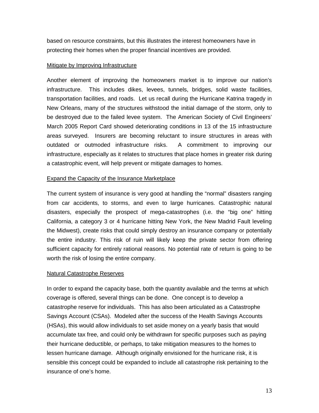based on resource constraints, but this illustrates the interest homeowners have in protecting their homes when the proper financial incentives are provided.

## Mitigate by Improving Infrastructure

Another element of improving the homeowners market is to improve our nation's infrastructure. This includes dikes, levees, tunnels, bridges, solid waste facilities, transportation facilities, and roads. Let us recall during the Hurricane Katrina tragedy in New Orleans, many of the structures withstood the initial damage of the storm, only to be destroyed due to the failed levee system. The American Society of Civil Engineers' March 2005 Report Card showed deteriorating conditions in 13 of the 15 infrastructure areas surveyed. Insurers are becoming reluctant to insure structures in areas with outdated or outmoded infrastructure risks. A commitment to improving our infrastructure, especially as it relates to structures that place homes in greater risk during a catastrophic event, will help prevent or mitigate damages to homes.

# Expand the Capacity of the Insurance Marketplace

The current system of insurance is very good at handling the "normal" disasters ranging from car accidents, to storms, and even to large hurricanes. Catastrophic natural disasters, especially the prospect of mega-catastrophes (i.e. the "big one" hitting California, a category 3 or 4 hurricane hitting New York, the New Madrid Fault leveling the Midwest), create risks that could simply destroy an insurance company or potentially the entire industry. This risk of ruin will likely keep the private sector from offering sufficient capacity for entirely rational reasons. No potential rate of return is going to be worth the risk of losing the entire company.

# Natural Catastrophe Reserves

In order to expand the capacity base, both the quantity available and the terms at which coverage is offered, several things can be done. One concept is to develop a catastrophe reserve for individuals. This has also been articulated as a Catastrophe Savings Account (CSAs). Modeled after the success of the Health Savings Accounts (HSAs), this would allow individuals to set aside money on a yearly basis that would accumulate tax free, and could only be withdrawn for specific purposes such as paying their hurricane deductible, or perhaps, to take mitigation measures to the homes to lessen hurricane damage. Although originally envisioned for the hurricane risk, it is sensible this concept could be expanded to include all catastrophe risk pertaining to the insurance of one's home.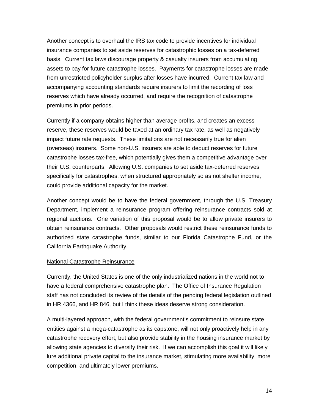Another concept is to overhaul the IRS tax code to provide incentives for individual insurance companies to set aside reserves for catastrophic losses on a tax-deferred basis. Current tax laws discourage property & casualty insurers from accumulating assets to pay for future catastrophe losses. Payments for catastrophe losses are made from unrestricted policyholder surplus after losses have incurred. Current tax law and accompanying accounting standards require insurers to limit the recording of loss reserves which have already occurred, and require the recognition of catastrophe premiums in prior periods.

Currently if a company obtains higher than average profits, and creates an excess reserve, these reserves would be taxed at an ordinary tax rate, as well as negatively impact future rate requests. These limitations are not necessarily true for alien (overseas) insurers. Some non-U.S. insurers are able to deduct reserves for future catastrophe losses tax-free, which potentially gives them a competitive advantage over their U.S. counterparts. Allowing U.S. companies to set aside tax-deferred reserves specifically for catastrophes, when structured appropriately so as not shelter income, could provide additional capacity for the market.

Another concept would be to have the federal government, through the U.S. Treasury Department, implement a reinsurance program offering reinsurance contracts sold at regional auctions. One variation of this proposal would be to allow private insurers to obtain reinsurance contracts. Other proposals would restrict these reinsurance funds to authorized state catastrophe funds, similar to our Florida Catastrophe Fund, or the California Earthquake Authority.

## National Catastrophe Reinsurance

Currently, the United States is one of the only industrialized nations in the world not to have a federal comprehensive catastrophe plan. The Office of Insurance Regulation staff has not concluded its review of the details of the pending federal legislation outlined in HR 4366, and HR 846, but I think these ideas deserve strong consideration.

A multi-layered approach, with the federal government's commitment to reinsure state entities against a mega-catastrophe as its capstone, will not only proactively help in any catastrophe recovery effort, but also provide stability in the housing insurance market by allowing state agencies to diversify their risk. If we can accomplish this goal it will likely lure additional private capital to the insurance market, stimulating more availability, more competition, and ultimately lower premiums.